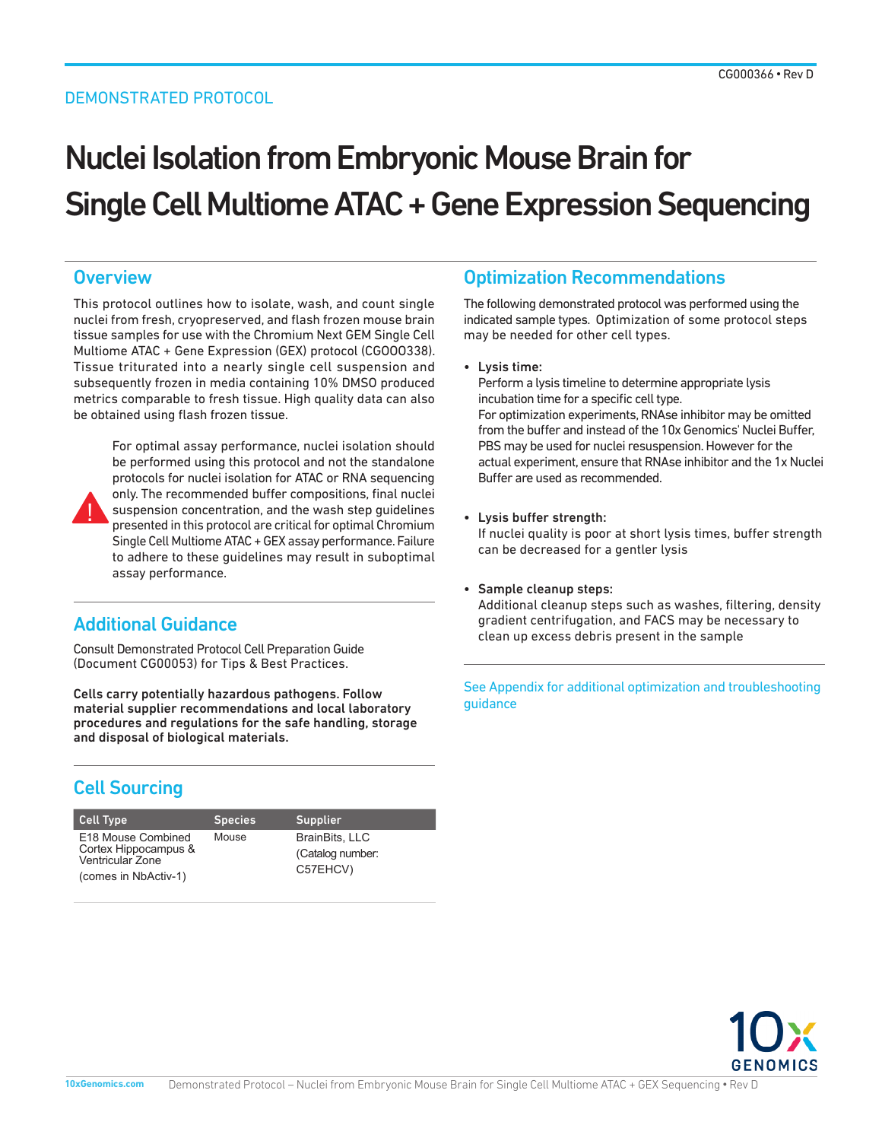#### DEMONSTRATED PROTOCOL

# Nuclei Isolation from Embryonic Mouse Brain for Single Cell Multiome ATAC + Gene Expression Sequencing

### **Overview**

This protocol outlines how to isolate, wash, and count single nuclei from fresh, cryopreserved, and flash frozen mouse brain tissue samples for use with the Chromium Next GEM Single Cell Multiome ATAC + Gene Expression (GEX) protocol (CGOOO338). Tissue triturated into a nearly single cell suspension and subsequently frozen in media containing 10% DMSO produced metrics comparable to fresh tissue. High quality data can also be obtained using flash frozen tissue.



For optimal assay performance, nuclei isolation should be performed using this protocol and not the standalone protocols for nuclei isolation for ATAC or RNA sequencing only. The recommended buffer compositions, final nuclei suspension concentration, and the wash step guidelines presented in this protocol are critical for optimal Chromium Single Cell Multiome ATAC + GEX assay performance. Failure to adhere to these guidelines may result in suboptimal assay performance.

# Additional Guidance

Consult Demonstrated Protocol Cell Preparation Guide (Document CG00053) for Tips & Best Practices.

Cells carry potentially hazardous pathogens. Follow material supplier recommendations and local laboratory procedures and regulations for the safe handling, storage and disposal of biological materials.

# Cell Sourcing

| <b>Cell Type</b>                                               | <b>Species</b> | <b>Supplier</b>                                       |
|----------------------------------------------------------------|----------------|-------------------------------------------------------|
| E18 Mouse Combined<br>Cortex Hippocampus &<br>Ventricular Zone | Mouse          | <b>BrainBits, LLC</b><br>(Catalog number:<br>C57EHCV) |
| (comes in NbActiv-1)                                           |                |                                                       |

# Optimization Recommendations

The following demonstrated protocol was performed using the indicated sample types. Optimization of some protocol steps may be needed for other cell types.

• Lysis time:

Perform a lysis timeline to determine appropriate lysis incubation time for a specific cell type. For optimization experiments, RNAse inhibitor may be omitted from the buffer and instead of the 10x Genomics' Nuclei Buffer, PBS may be used for nuclei resuspension. However for the actual experiment, ensure that RNAse inhibitor and the 1x Nuclei

• Lysis buffer strength:

Buffer are used as recommended.

If nuclei quality is poor at short lysis times, buffer strength can be decreased for a gentler lysis

#### • Sample cleanup steps:

Additional cleanup steps such as washes, filtering, density gradient centrifugation, and FACS may be necessary to clean up excess debris present in the sample

See Appendix for additional optimization and troubleshooting guidance

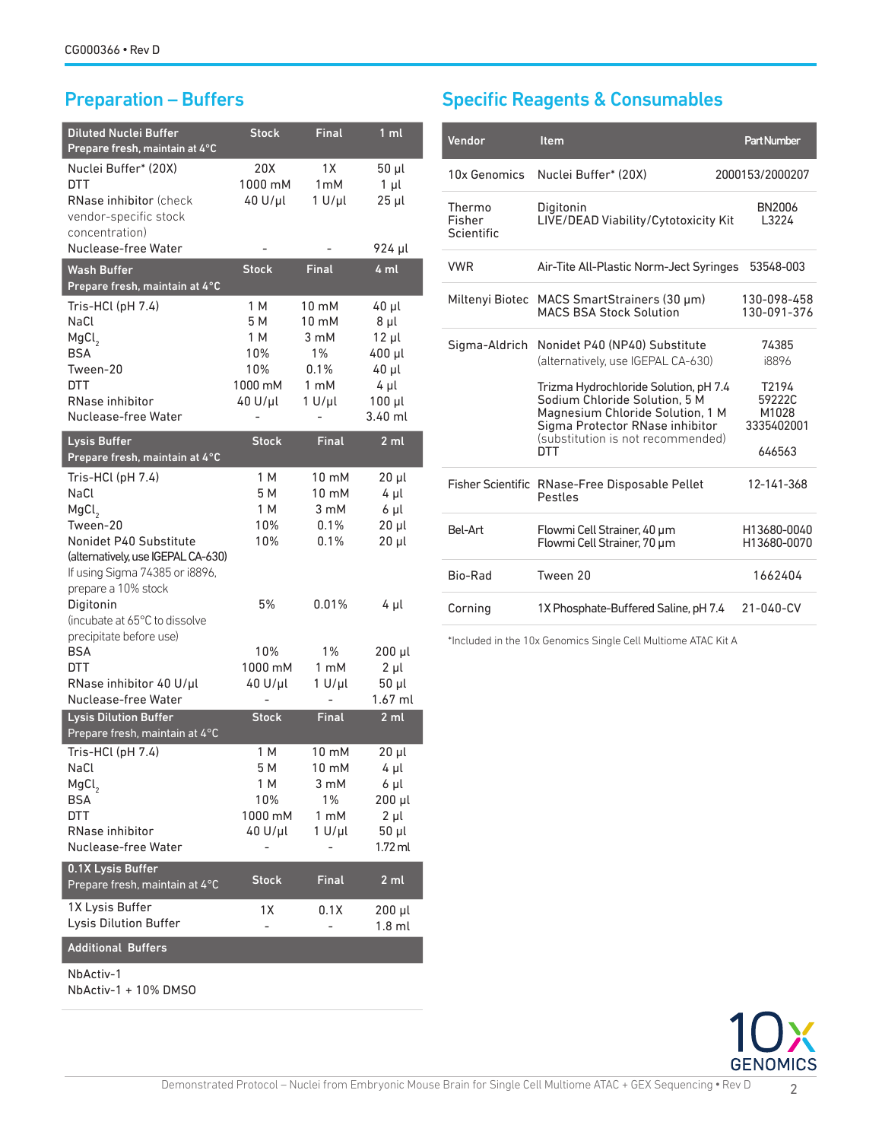| <b>Diluted Nuclei Buffer</b><br>Prepare fresh, maintain at 4°C | <b>Stock</b> | <b>Final</b>    | 1 <sub>m</sub>  |
|----------------------------------------------------------------|--------------|-----------------|-----------------|
| Nuclei Buffer* (20X)                                           | 20X          | 1X              | 50 µl           |
| DTT                                                            | 1000 mM      | 1mM             | $1 \mu l$       |
| RNase inhibitor (check                                         | $40 U/\mu l$ | $1 U/\mu l$     | $25$ $\mu$      |
| vendor-specific stock                                          |              |                 |                 |
| concentration)                                                 |              |                 |                 |
| Nuclease-free Water                                            |              |                 | 924 µl          |
| Wash Buffer                                                    | <b>Stock</b> | <b>Final</b>    | 4 ml            |
| Prepare fresh, maintain at 4°C                                 |              |                 |                 |
| Tris-HCl (pH 7.4)                                              | 1 M          | 10 mM           | 40 µl           |
| NaCl                                                           | 5 M          | $10 \text{ mM}$ | 8 µl            |
| MgCl <sub>2</sub>                                              | 1 M          | 3 mM            | $12 \mu l$      |
| <b>BSA</b>                                                     | 10%          | $1\%$           | 400 µl          |
| Tween-20                                                       | 10%          | 0.1%            | 40 µl           |
| DTT                                                            | 1000 mM      | 1 mM            | 4 µl            |
| RNase inhibitor                                                | $40 U/\mu l$ | $1 U/ \mu l$    | $100$ $\mu$     |
| Nuclease-free Water                                            |              |                 | 3.40 ml         |
| Lysis Buffer                                                   | <b>Stock</b> | <b>Final</b>    | 2 <sub>m</sub>  |
| Prepare fresh, maintain at 4°C                                 |              |                 |                 |
| Tris-HCl (pH 7.4)                                              | 1 M          | 10 mM           | $20 \mu$        |
| NaCl                                                           | 5 M          | 10 mM           | 4 µl            |
| MgCl <sub>2</sub>                                              | 1 M          | 3 mM            | 6 µl            |
| Tween-20                                                       | 10%          | 0.1%            | 20 µl           |
| Nonidet P40 Substitute                                         | 10%          | 0.1%            | 20 µl           |
| (alternatively, use IGEPAL CA-630)                             |              |                 |                 |
| If using Sigma 74385 or i8896,                                 |              |                 |                 |
| prepare a 10% stock                                            |              |                 |                 |
| Digitonin                                                      | 5%           | 0.01%           | 4 µl            |
| (incubate at 65°C to dissolve                                  |              |                 |                 |
| precipitate before use)                                        |              |                 |                 |
| BSA                                                            | 10%          | $1\%$           | 200 µl          |
| DTT                                                            | 1000 mM      | 1 mM            | 2 µl            |
| RNase inhibitor 40 U/µl                                        | 40 U/µl      | $1 U/\mu l$     | 50 µl           |
| Nuclease-free Water                                            |              |                 | 1.67 ml         |
| <b>Lysis Dilution Buffer</b><br>Prepare fresh, maintain at 4°C | <b>Stock</b> | <b>Final</b>    | 2ml             |
| Tris-HCl (pH 7.4)                                              | 1 M          | 10 mM           | 20 µl           |
| NaCl                                                           | 5 M          | 10 mM           | $4 \mu l$       |
| MgCl <sub>2</sub>                                              | 1 M          | 3 mM            | 6 µl            |
| <b>BSA</b>                                                     | 10%          | 1%              | 200 µl          |
| <b>DTT</b>                                                     | 1000 mM      | 1 mM            | $2 \mu l$       |
| RNase inhibitor                                                | 40 U/µl      | $1 U/\mu l$     | 50 µl           |
| Nuclease-free Water                                            |              |                 | 1.72 ml         |
| 0.1X Lysis Buffer                                              |              |                 |                 |
| Prepare fresh, maintain at 4°C                                 | <b>Stock</b> | <b>Final</b>    | 2 <sub>m1</sub> |
| 1X Lysis Buffer                                                | 1X           | 0.1X            | $200$ $\mu$     |
| Lysis Dilution Buffer                                          |              |                 | $1.8$ ml        |
| <b>Additional Buffers</b>                                      |              |                 |                 |
| NbActiv-1<br>NbActiv-1 + 10% DMSO                              |              |                 |                 |

# Preparation – Buffers Specific Reagents & Consumables

| Vendor                         | <b>Item</b>                                                                                                                                                                        | <b>Part Number</b>                     |
|--------------------------------|------------------------------------------------------------------------------------------------------------------------------------------------------------------------------------|----------------------------------------|
| 10x Genomics                   | Nuclei Buffer* (20X)                                                                                                                                                               | 2000153/2000207                        |
| Thermo<br>Fisher<br>Scientific | Digitonin<br>LIVE/DEAD Viability/Cytotoxicity Kit                                                                                                                                  | BN2006<br>13224                        |
| <b>VWR</b>                     | Air-Tite All-Plastic Norm-Ject Syringes                                                                                                                                            | 53548-003                              |
| Miltenyi Biotec                | MACS SmartStrainers (30 µm)<br><b>MACS BSA Stock Solution</b>                                                                                                                      | 130-098-458<br>130-091-376             |
| Sigma-Aldrich                  | Nonidet P40 (NP40) Substitute<br>(alternatively, use IGEPAL CA-630)                                                                                                                | 74385<br>i8896                         |
|                                | Trizma Hydrochloride Solution, pH 7.4<br>Sodium Chloride Solution, 5 M<br>Magnesium Chloride Solution, 1 M<br>Sigma Protector RNase inhibitor<br>(substitution is not recommended) | T2194<br>59222C<br>M1028<br>3335402001 |
|                                | DTT                                                                                                                                                                                | 646563                                 |
|                                | Fisher Scientific RNase-Free Disposable Pellet<br>Pestles                                                                                                                          | 12-141-368                             |
| <b>Bel-Art</b>                 | Flowmi Cell Strainer, 40 µm<br>Flowmi Cell Strainer, 70 µm                                                                                                                         | H13680-0040<br>H13680-0070             |
| Bio-Rad                        | Tween 20                                                                                                                                                                           | 1662404                                |
| Corning                        | 1X Phosphate-Buffered Saline, pH 7.4                                                                                                                                               | 21-040-CV                              |

\*Included in the 10x Genomics Single Cell Multiome ATAC Kit A

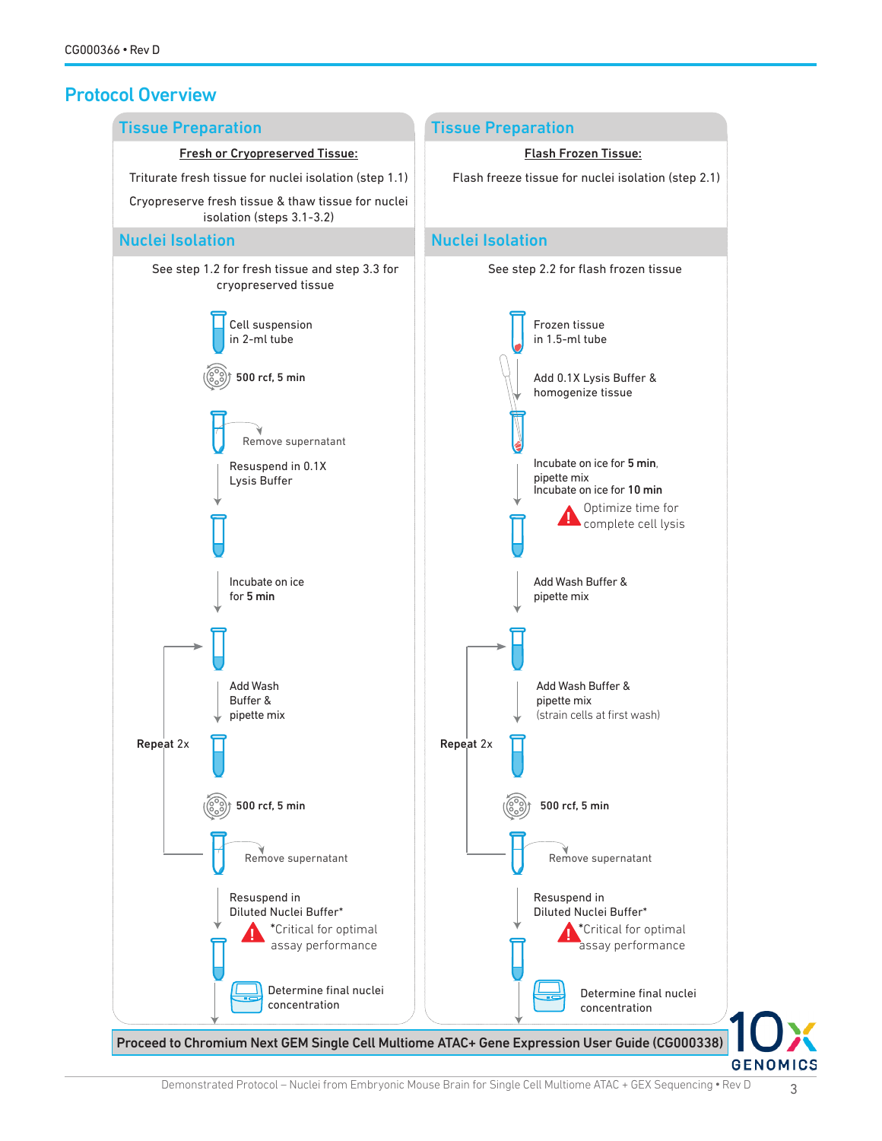# Protocol Overview

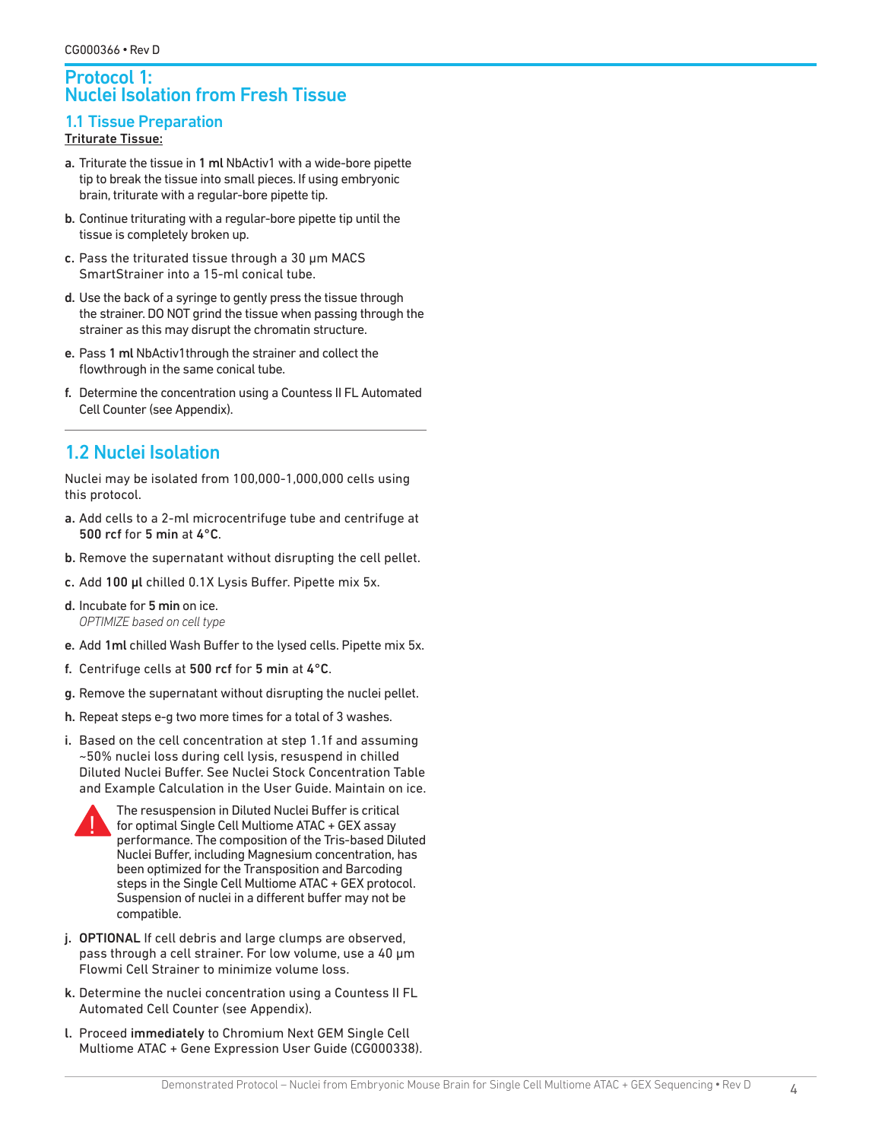#### Protocol 1: Nuclei Isolation from Fresh Tissue

# 1.1 Tissue Preparation

#### Triturate Tissue:

- a. Triturate the tissue in 1 ml NbActiv1 with a wide-bore pipette tip to break the tissue into small pieces. If using embryonic brain, triturate with a regular-bore pipette tip.
- b. Continue triturating with a regular-bore pipette tip until the tissue is completely broken up.
- c. Pass the triturated tissue through a 30 µm MACS SmartStrainer into a 15-ml conical tube.
- d. Use the back of a syringe to gently press the tissue through the strainer. DO NOT grind the tissue when passing through the strainer as this may disrupt the chromatin structure.
- e. Pass 1 ml NbActiv1through the strainer and collect the flowthrough in the same conical tube.
- f. Determine the concentration using a Countess II FL Automated Cell Counter (see Appendix).

# 1.2 Nuclei Isolation

Nuclei may be isolated from 100,000-1,000,000 cells using this protocol.

- a. Add cells to a 2-ml microcentrifuge tube and centrifuge at 500 rcf for 5 min at 4°C.
- b. Remove the supernatant without disrupting the cell pellet.
- c. Add 100 µl chilled 0.1X Lysis Buffer. Pipette mix 5x.
- d. Incubate for 5 min on ice. *OPTIMIZE based on cell type*
- e. Add 1ml chilled Wash Buffer to the lysed cells. Pipette mix 5x.
- f. Centrifuge cells at 500 rcf for 5 min at  $4^{\circ}$ C.
- g. Remove the supernatant without disrupting the nuclei pellet.
- h. Repeat steps e-g two more times for a total of 3 washes.
- i. Based on the cell concentration at step 1.1f and assuming ~50% nuclei loss during cell lysis, resuspend in chilled Diluted Nuclei Buffer. See Nuclei Stock Concentration Table and Example Calculation in the User Guide. Maintain on ice.



The resuspension in Diluted Nuclei Buffer is critical for optimal Single Cell Multiome ATAC + GEX assay performance. The composition of the Tris-based Diluted Nuclei Buffer, including Magnesium concentration, has been optimized for the Transposition and Barcoding steps in the Single Cell Multiome ATAC + GEX protocol. Suspension of nuclei in a different buffer may not be compatible.

- j. OPTIONAL If cell debris and large clumps are observed, pass through a cell strainer. For low volume, use a 40 µm Flowmi Cell Strainer to minimize volume loss.
- k. Determine the nuclei concentration using a Countess II FL Automated Cell Counter (see Appendix).
- l. Proceed immediately to Chromium Next GEM Single Cell Multiome ATAC + Gene Expression User Guide (CG000338).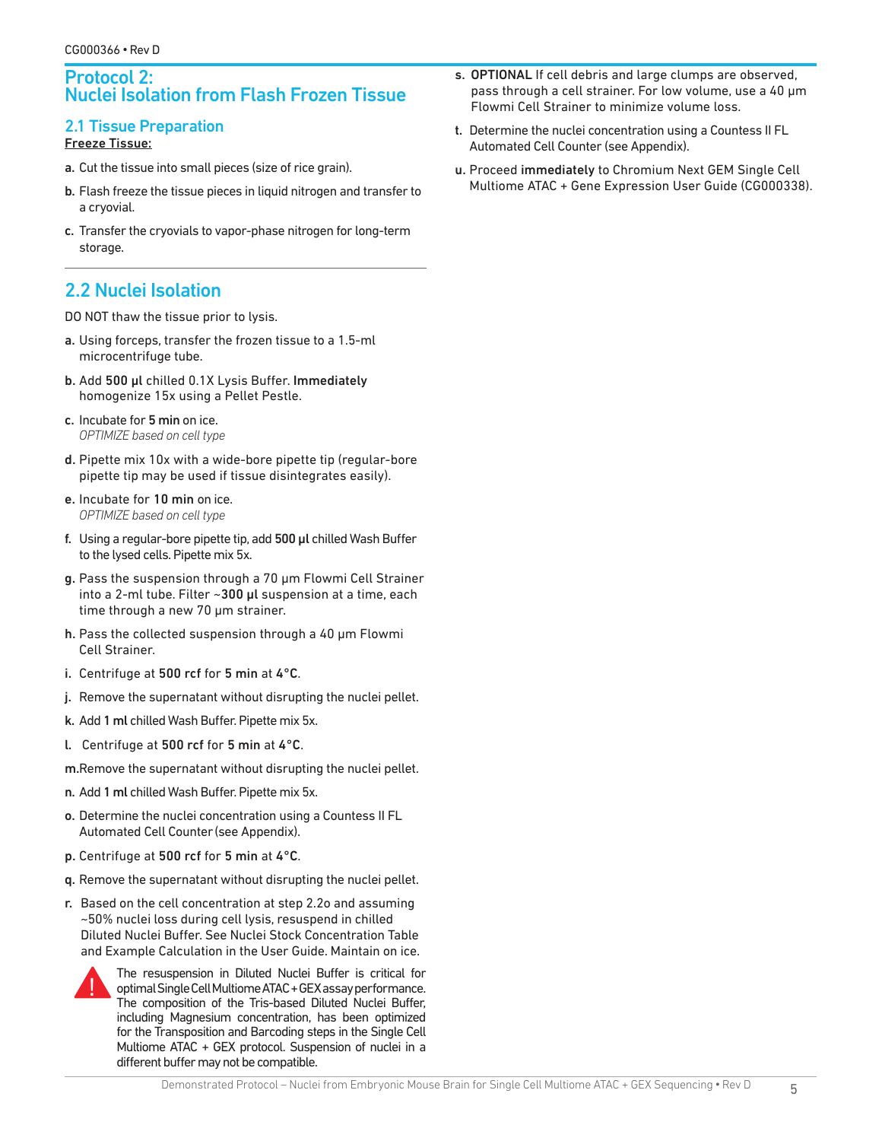#### Protocol 2: Nuclei Isolation from Flash Frozen Tissue

#### 2.1 Tissue Preparation

#### Freeze Tissue:

- a. Cut the tissue into small pieces (size of rice grain).
- b. Flash freeze the tissue pieces in liquid nitrogen and transfer to a cryovial.
- c. Transfer the cryovials to vapor-phase nitrogen for long-term storage.

# 2.2 Nuclei Isolation

DO NOT thaw the tissue prior to lysis.

- a. Using forceps, transfer the frozen tissue to a 1.5-ml microcentrifuge tube.
- b. Add 500 µl chilled 0.1X Lysis Buffer. Immediately homogenize 15x using a Pellet Pestle.
- c. Incubate for 5 min on ice. *OPTIMIZE based on cell type*
- d. Pipette mix 10x with a wide-bore pipette tip (regular-bore pipette tip may be used if tissue disintegrates easily).
- e. Incubate for 10 min on ice. *OPTIMIZE based on cell type*
- f. Using a regular-bore pipette tip, add 500 µl chilled Wash Buffer to the lysed cells. Pipette mix 5x.
- g. Pass the suspension through a 70 µm Flowmi Cell Strainer into a 2-ml tube. Filter ~300 µl suspension at a time, each time through a new 70 µm strainer.
- h. Pass the collected suspension through a 40 µm Flowmi Cell Strainer.
- i. Centrifuge at 500 rcf for 5 min at 4°C.
- j. Remove the supernatant without disrupting the nuclei pellet.
- k. Add 1 ml chilled Wash Buffer. Pipette mix 5x.
- l. Centrifuge at 500 rcf for 5 min at 4°C.
- m.Remove the supernatant without disrupting the nuclei pellet.
- n. Add 1 ml chilled Wash Buffer. Pipette mix 5x.
- o. Determine the nuclei concentration using a Countess II FL Automated Cell Counter(see Appendix).
- p. Centrifuge at 500 rcf for 5 min at 4°C.
- q. Remove the supernatant without disrupting the nuclei pellet.
- r. Based on the cell concentration at step 2.2o and assuming ~50% nuclei loss during cell lysis, resuspend in chilled Diluted Nuclei Buffer. See Nuclei Stock Concentration Table and Example Calculation in the User Guide. Maintain on ice.



The resuspension in Diluted Nuclei Buffer is critical for optimal Single Cell Multiome ATAC + GEX assay performance. The composition of the Tris-based Diluted Nuclei Buffer, including Magnesium concentration, has been optimized for the Transposition and Barcoding steps in the Single Cell Multiome ATAC + GEX protocol. Suspension of nuclei in a different buffer may not be compatible.

- s. OPTIONAL If cell debris and large clumps are observed, pass through a cell strainer. For low volume, use a 40 µm Flowmi Cell Strainer to minimize volume loss.
- t. Determine the nuclei concentration using a Countess II FL Automated Cell Counter (see Appendix).
- u. Proceed immediately to Chromium Next GEM Single Cell Multiome ATAC + Gene Expression User Guide (CG000338).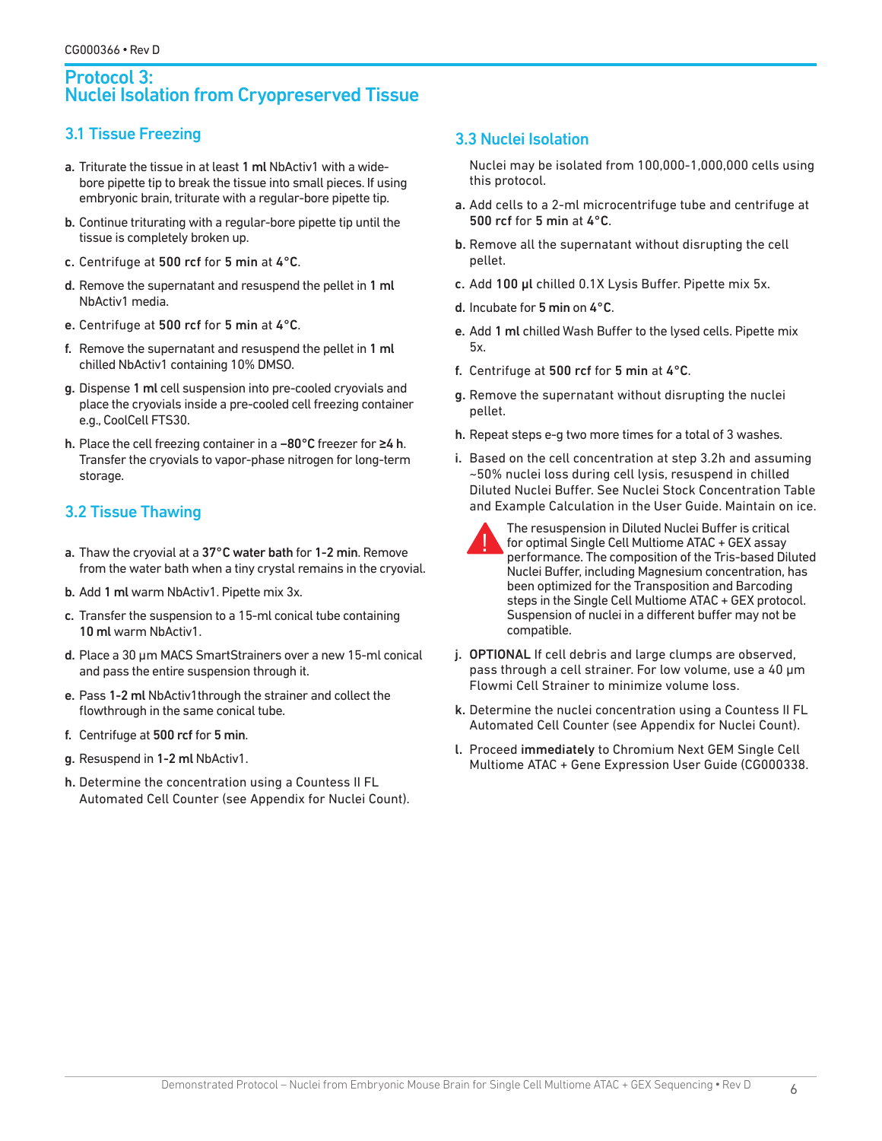#### Protocol 3: Nuclei Isolation from Cryopreserved Tissue

### 3.1 Tissue Freezing

- a. Triturate the tissue in at least 1 ml NbActiv1 with a widebore pipette tip to break the tissue into small pieces. If using embryonic brain, triturate with a regular-bore pipette tip.
- b. Continue triturating with a regular-bore pipette tip until the tissue is completely broken up.
- c. Centrifuge at 500 rcf for 5 min at 4°C.
- d. Remove the supernatant and resuspend the pellet in 1 ml NbActiv1 media.
- e. Centrifuge at 500 rcf for 5 min at 4°C.
- f. Remove the supernatant and resuspend the pellet in 1 ml chilled NbActiv1 containing 10% DMSO.
- g. Dispense 1 ml cell suspension into pre-cooled cryovials and place the cryovials inside a pre-cooled cell freezing container e.g., CoolCell FTS30.
- h. Place the cell freezing container in a −80°C freezer for ≥4 h. Transfer the cryovials to vapor-phase nitrogen for long-term storage.

# 3.2 Tissue Thawing

- a. Thaw the cryovial at a 37°C water bath for 1-2 min. Remove from the water bath when a tiny crystal remains in the cryovial.
- b. Add 1 ml warm NbActiv1. Pipette mix 3x.
- c. Transfer the suspension to a 15-ml conical tube containing 10 ml warm NbActiv1.
- d. Place a 30 µm MACS SmartStrainers over a new 15-ml conical and pass the entire suspension through it.
- e. Pass 1-2 ml NbActiv1through the strainer and collect the flowthrough in the same conical tube.
- f. Centrifuge at 500 rcf for 5 min.
- g. Resuspend in 1-2 ml NbActiv1.
- h. Determine the concentration using a Countess II FL Automated Cell Counter (see Appendix for Nuclei Count).

#### 3.3 Nuclei Isolation

Nuclei may be isolated from 100,000-1,000,000 cells using this protocol.

- a. Add cells to a 2-ml microcentrifuge tube and centrifuge at 500 rcf for 5 min at 4°C.
- b. Remove all the supernatant without disrupting the cell pellet.
- c. Add 100 µl chilled 0.1X Lysis Buffer. Pipette mix 5x.
- d. Incubate for 5 min on 4°C.
- e. Add 1 ml chilled Wash Buffer to the lysed cells. Pipette mix 5x.
- f. Centrifuge at 500 rcf for 5 min at 4°C.
- g. Remove the supernatant without disrupting the nuclei pellet.
- h. Repeat steps e-g two more times for a total of 3 washes.
- i. Based on the cell concentration at step 3.2h and assuming ~50% nuclei loss during cell lysis, resuspend in chilled Diluted Nuclei Buffer. See Nuclei Stock Concentration Table and Example Calculation in the User Guide. Maintain on ice.



The resuspension in Diluted Nuclei Buffer is critical for optimal Single Cell Multiome ATAC + GEX assay performance. The composition of the Tris-based Diluted Nuclei Buffer, including Magnesium concentration, has been optimized for the Transposition and Barcoding steps in the Single Cell Multiome ATAC + GEX protocol. Suspension of nuclei in a different buffer may not be compatible.

- j. OPTIONAL If cell debris and large clumps are observed, pass through a cell strainer. For low volume, use a 40 µm Flowmi Cell Strainer to minimize volume loss.
- k. Determine the nuclei concentration using a Countess II FL Automated Cell Counter (see Appendix for Nuclei Count).
- l. Proceed immediately to Chromium Next GEM Single Cell Multiome ATAC + Gene Expression User Guide (CG000338.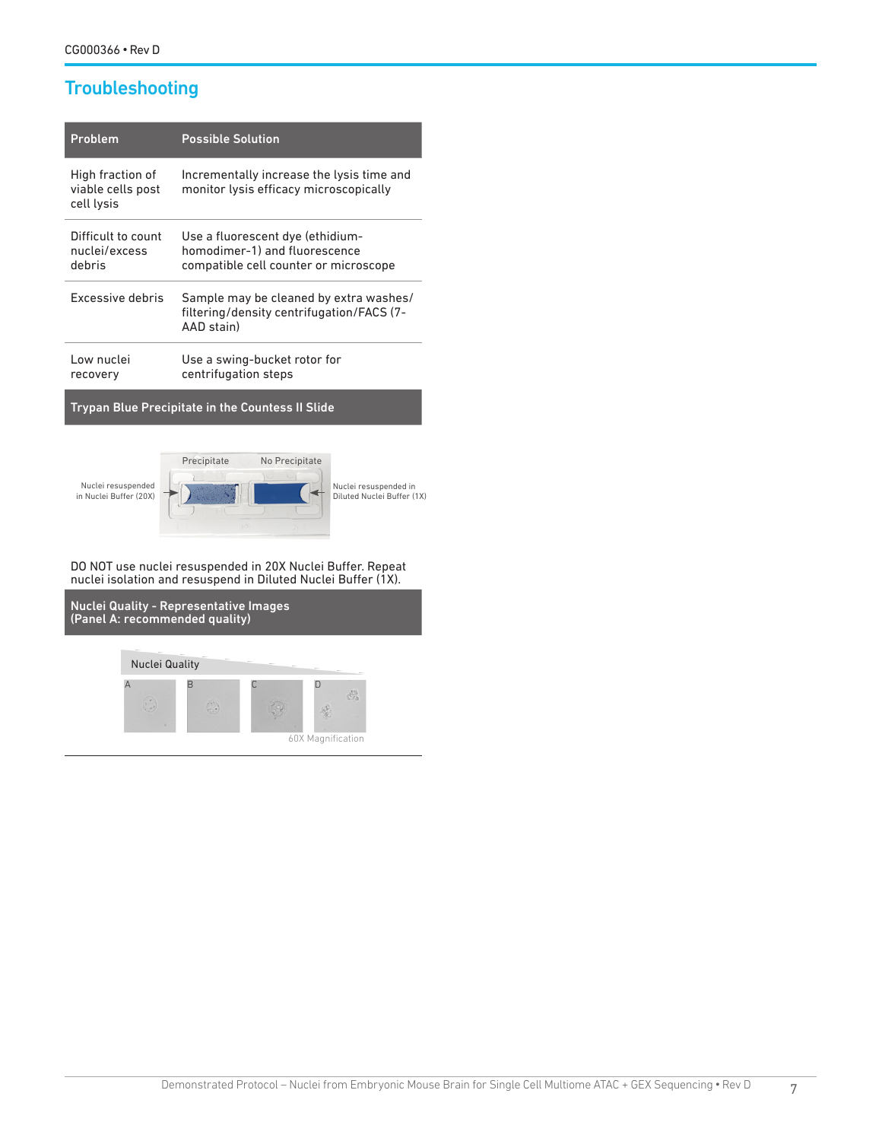# **Troubleshooting**

| Problem                                             | <b>Possible Solution</b>                                                                                   |
|-----------------------------------------------------|------------------------------------------------------------------------------------------------------------|
| High fraction of<br>viable cells post<br>cell lysis | Incrementally increase the lysis time and<br>monitor lysis efficacy microscopically                        |
| Difficult to count<br>nuclei/excess<br>debris       | Use a fluorescent dye (ethidium-<br>homodimer-1) and fluorescence<br>compatible cell counter or microscope |
| Excessive debris                                    | Sample may be cleaned by extra washes/<br>filtering/density centrifugation/FACS (7-<br>AAD stain)          |
| Low nuclei<br>recovery                              | Use a swing-bucket rotor for<br>centrifugation steps                                                       |

Trypan Blue Precipitate in the Countess II Slide



DO NOT use nuclei resuspended in 20X Nuclei Buffer. Repeat nuclei isolation and resuspend in Diluted Nuclei Buffer (1X).